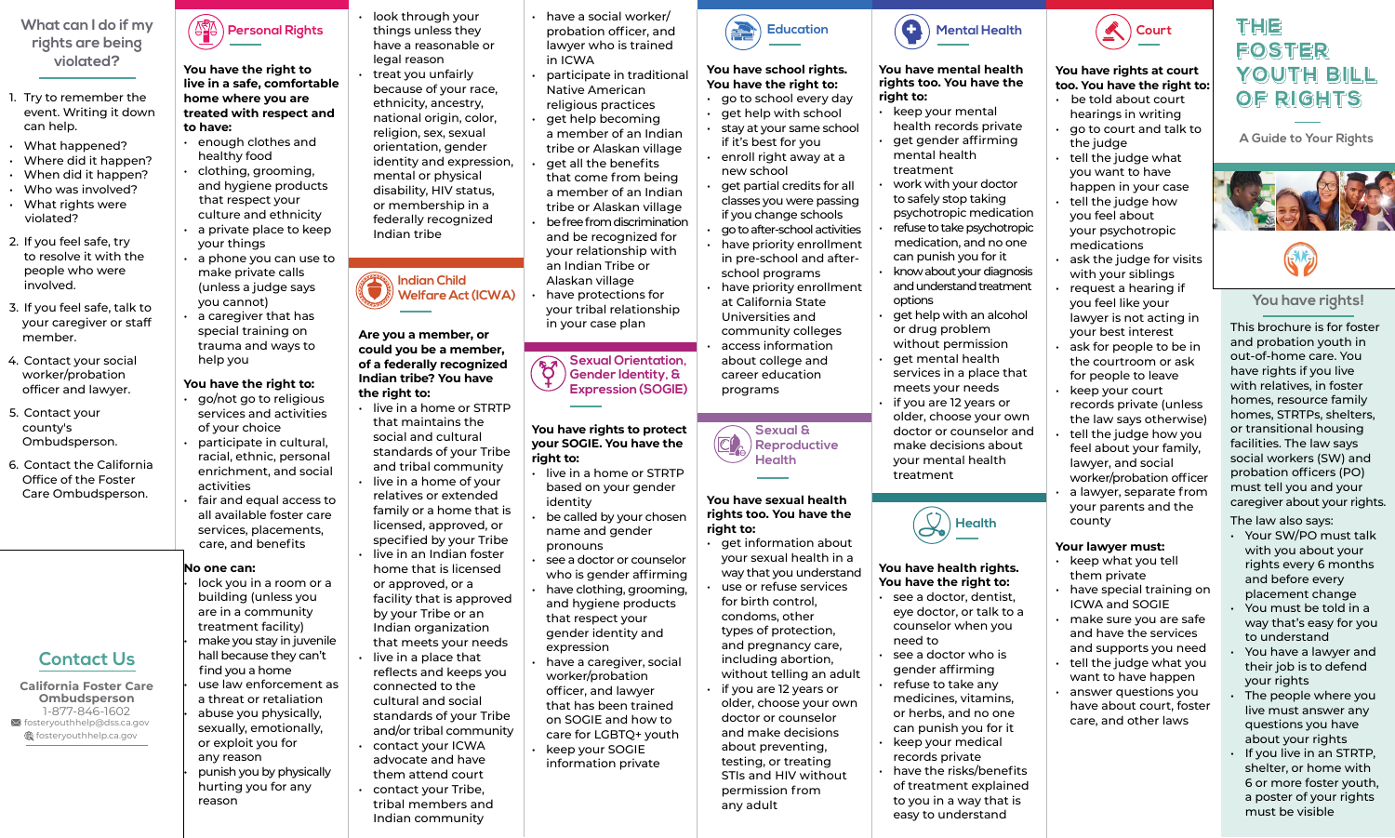## **You have rights!**

This brochure is for foster and probation youth in out-of-home care. You have rights if you live with relatives, in foster homes, resource family homes, STRTPs, shelters, or transitional housing facilities. The law says social workers (SW) and probation officers (PO) must tell you and your caregiver about your rights.

The law also says:

- Your SW/PO must talk with you about your rights every 6 months and before every placement change
- You must be told in a way that's easy for you to understand
- You have a lawyer and their job is to defend your rights
- The people where you live must answer any questions you have about your rights
- If you live in an STRTP, shelter, or home with 6 or more foster youth, a poster of your rights must be visible

**You have the right to live in a safe, comfortable home where you are treated with respect and to have:**

lock you in a room or a building (unless you are in a community treatment facility) • make you stay in juvenile hall because they can't find you a home use law enforcement as a threat or retaliation • abuse you physically, sexually, emotionally, or exploit you for any reason • punish you by physically hurting you for any reason

- enough clothes and healthy food
- clothing, grooming, and hygiene products that respect your culture and ethnicity
- a private place to keep your things
- a phone you can use to make private calls (unless a judge says you cannot)
- a caregiver that has special training on trauma and ways to help you

## **You have the right to:**

- go/not go to religious services and activities of your choice
- participate in cultural, racial, ethnic, personal enrichment, and social activities
- fair and equal access to all available foster care services, placements, care, and benefits

## **No one can:**

• look through your things unless they have a reasonable or legal reason • treat you unfairly because of your race, ethnicity, ancestry, national origin, color, religion, sex, sexual orientation, gender identity and expression, mental or physical disability, HIV status, or membership in a federally recognized Indian tribe

#### **Are you a member, or could you be a member, of a federally recognized Indian tribe? You have the right to:**

- live in a home or STRTP that maintains the social and cultural standards of your Tribe and tribal community
- live in a home of your relatives or extended family or a home that is licensed, approved, or specified by your Tribe
- live in an Indian foster home that is licensed or approved, or a facility that is approved by your Tribe or an Indian organization that meets your needs
- live in a place that reflects and keeps you connected to the cultural and social standards of your Tribe and/or tribal community
- contact your ICWA advocate and have them attend court
- contact your Tribe, tribal members and Indian community
- keep your mental health records private
- get gender affirming mental health treatment
- work with your doctor to safely stop taking psychotropic medication
- refuse to take psychotropic medication, and no one can punish you for it
- know about your diagnosis and understand treatment options
- get help with an alcohol or drug problem without permission
- get mental health services in a place that meets your needs
- if you are 12 years or older, choose your own doctor or counselor and make decisions about your mental health treatment

- see a doctor, dentist, eye doctor, or talk to a counselor when you need to
- see a doctor who is gender affirming
- refuse to take any medicines, vitamins, or herbs, and no one can punish you for it
- keep your medical records private
- have the risks/benefits of treatment explained to you in a way that is easy to understand



- have a social worker/ probation officer, and lawyer who is trained in ICWA
- participate in traditional Native American religious practices
- get help becoming a member of an Indian tribe or Alaskan village
- get all the benefits that come from being a member of an Indian tribe or Alaskan village
- be free from discrimination and be recognized for your relationship with an Indian Tribe or Alaskan village
- have protections for your tribal relationship in your case plan
- be told about court hearings in writing
- go to court and talk to the judge
- tell the judge what you want to have happen in your case
- tell the judge how you feel about your psychotropic medications
- ask the judge for visits with your siblings
- request a hearing if you feel like your lawyer is not acting in your best interest
- ask for people to be in the courtroom or ask for people to leave
- keep your court records private (unless the law says otherwise)
- tell the judge how you feel about your family, lawyer, and social worker/probation officer
- a lawyer, separate from your parents and the county

## **You have rights to protect your SOGIE. You have the right to:**

- live in a home or STRTP based on your gender identity
- be called by your chosen name and gender pronouns
- see a doctor or counselor who is gender affirming
- have clothing, grooming, and hygiene products that respect your gender identity and expression
- have a caregiver, social worker/probation officer, and lawyer that has been trained on SOGIE and how to care for LGBTQ+ youth
- keep your SOGIE information private

**California Foster Care Ombudsperson** 1-877-846-1602 fosteryouthhelp@dss.ca.gov thelp.ca.gov

## **You have school rights. You have the right to:**

- go to school every day • get help with school
- stay at your same school if it's best for you
- enroll right away at a new school
- get partial credits for all classes you were passing if you change schools
- go to after-school activities have priority enrollment in pre-school and afterschool programs
- have priority enrollment at California State Universities and community colleges
- access information about college and career education programs

## **You have sexual health rights too. You have the right to:**

- get information about your sexual health in a way that you understand
- use or refuse services for birth control, condoms, other types of protection, and pregnancy care, including abortion, without telling an adult
- if you are 12 years or older, choose your own doctor or counselor and make decisions about preventing, testing, or treating STIs and HIV without permission from any adult

#### **You have mental health rights too. You have the right to:**

## **You have health rights. You have the right to:**

## **You have rights at court too. You have the right to:**

## **Your lawyer must:**

- keep what you tell them private
- have special training on ICWA and SOGIE
- make sure you are safe and have the services and supports you need
- tell the judge what you want to have happen
- answer questions you have about court, foster care, and other laws

## **What can I do if my rights are being violated?**

- 1. Try to remember the event. Writing it down can help.
- What happened?
- Where did it happen?
- When did it happen?
- Who was involved?
- What rights were violated?
- 2. If you feel safe, try to resolve it with the people who were involved.
- 3. If you feel safe, talk to your caregiver or staff member.
- 4. Contact your social worker/probation officer and lawyer.
- 5. Contact your county's Ombudsperson.
- 6. Contact the California Office of the Foster Care Ombudsperson.









**Sexual Orientation,**  $\delta$ **Gender Identity, & Expression (SOGIE)**

# **THE THE FOSTER FOSTER YOUTH BILL YOUTH BILL OF RIGHTS OF RIGHTS**

 $\frac{1}{\sqrt{2\pi}}$ **A** Guide to Your Rights<br>





## **Contact Us**